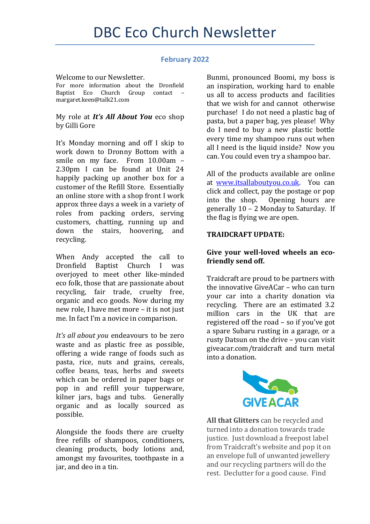#### **February 2022**

Welcome to our Newsletter.

For more information about the Dronfield Baptist Eco Church Group contact – margaret.keen@talk21.com

My role at *It's All About You* eco shop by Gilli Gore

It's Monday morning and off I skip to work down to Dronny Bottom with a smile on my face. From 10.00am – 2.30pm I can be found at Unit 24 happily packing up another box for a customer of the Refill Store. Essentially an online store with a shop front I work approx three days a week in a variety of roles from packing orders, serving customers, chatting, running up and down the stairs, hoovering, and recycling.

When Andy accepted the call to Dronfield Baptist Church I was overjoyed to meet other like-minded eco folk, those that are passionate about recycling, fair trade, cruelty free, organic and eco goods. Now during my new role, I have met more – it is not just me. In fact I'm a novice in comparison.

*It's all about you* endeavours to be zero waste and as plastic free as possible, offering a wide range of foods such as pasta, rice, nuts and grains, cereals, coffee beans, teas, herbs and sweets which can be ordered in paper bags or pop in and refill your tupperware, kilner jars, bags and tubs. Generally organic and as locally sourced as possible.

Alongside the foods there are cruelty free refills of shampoos, conditioners, cleaning products, body lotions and, amongst my favourites, toothpaste in a jar, and deo in a tin.

Bunmi, pronounced Boomi, my boss is an inspiration, working hard to enable us all to access products and facilities that we wish for and cannot otherwise purchase! I do not need a plastic bag of pasta, but a paper bag, yes please! Why do I need to buy a new plastic bottle every time my shampoo runs out when all I need is the liquid inside? Now you can. You could even try a shampoo bar.

All of the products available are online at [www.itsallaboutyou.co.uk.](http://www.itsallaboutyou.co.uk/) You can click and collect, pay the postage or pop into the shop. Opening hours are generally 10 – 2 Monday to Saturday. If the flag is flying we are open.

## **TRAIDCRAFT UPDATE:**

# **Give your well-loved wheels an ecofriendly send off.**

Traidcraft are proud to be partners with the innovative GiveACar – who can turn your car into a charity donation via recycling. There are an estimated 3.2 million cars in the UK that are registered off the road – so if you've got a spare Subaru rusting in a garage, or a rusty Datsun on the drive – you can visit giveacar.com/traidcraft and turn metal into a donation.



**All that Glitters** can be recycled and turned into a donation towards trade justice. Just download a freepost label from Traidcraft's website and pop it on an envelope full of unwanted jewellery and our recycling partners will do the rest. Declutter for a good cause. Find